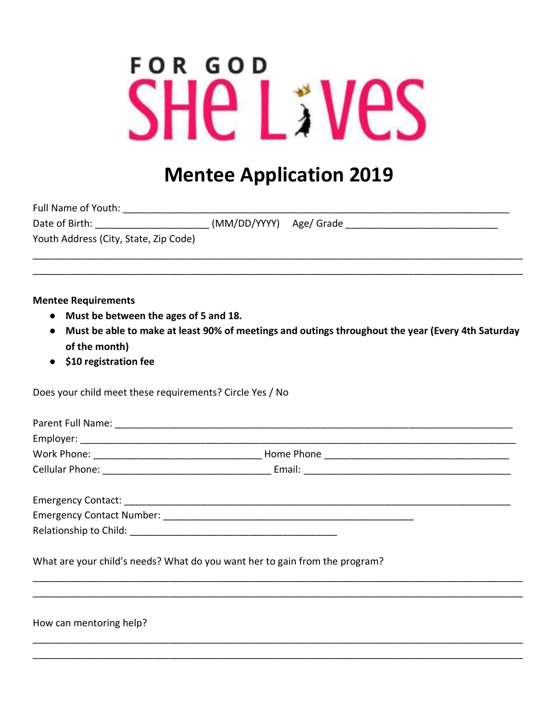## **FOR GOD** THE LIVES

## **Mentee Application 2019**

| <b>Full Name of Youth:</b> |  |
|----------------------------|--|
|----------------------------|--|

Youth Address (City, State, Zip Code)

**Mentee Requirements** 

- Must be between the ages of 5 and 18.
- Must be able to make at least 90% of meetings and outings throughout the year (Every 4th Saturday of the month)
- \$10 registration fee

Does your child meet these requirements? Circle Yes / No

| What are your child's needs? What do you want her to gain from the program? |  |
|-----------------------------------------------------------------------------|--|
|                                                                             |  |
|                                                                             |  |
|                                                                             |  |

How can mentoring help?